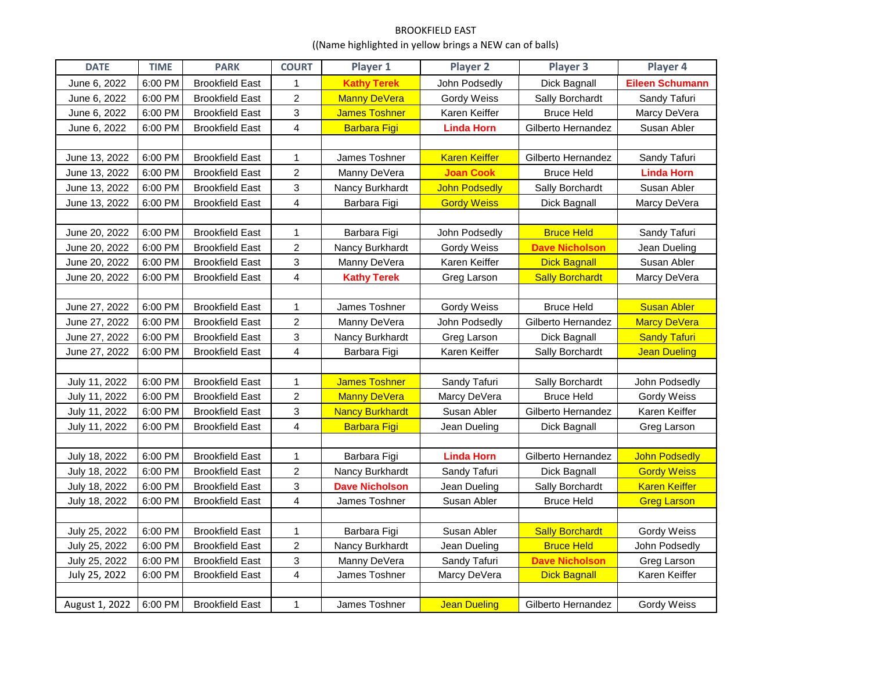## BROOKFIELD EAST ((Name highlighted in yellow brings a NEW can of balls)

| <b>DATE</b>    | <b>TIME</b> | <b>PARK</b>            | <b>COURT</b>            | Player 1               | Player 2             | Player 3               | Player 4               |
|----------------|-------------|------------------------|-------------------------|------------------------|----------------------|------------------------|------------------------|
| June 6, 2022   | 6:00 PM     | <b>Brookfield East</b> | 1                       | <b>Kathy Terek</b>     | John Podsedly        | Dick Bagnall           | <b>Eileen Schumann</b> |
| June 6, 2022   | 6:00 PM     | <b>Brookfield East</b> | $\overline{c}$          | <b>Manny DeVera</b>    | Gordy Weiss          | Sally Borchardt        | Sandy Tafuri           |
| June 6, 2022   | 6:00 PM     | <b>Brookfield East</b> | 3                       | <b>James Toshner</b>   | Karen Keiffer        | <b>Bruce Held</b>      | Marcy DeVera           |
| June 6, 2022   | 6:00 PM     | <b>Brookfield East</b> | $\overline{\mathbf{4}}$ | <b>Barbara Figi</b>    | <b>Linda Horn</b>    | Gilberto Hernandez     | Susan Abler            |
|                |             |                        |                         |                        |                      |                        |                        |
| June 13, 2022  | 6:00 PM     | <b>Brookfield East</b> | 1                       | James Toshner          | <b>Karen Keiffer</b> | Gilberto Hernandez     | Sandy Tafuri           |
| June 13, 2022  | 6:00 PM     | <b>Brookfield East</b> | $\overline{c}$          | Manny DeVera           | <b>Joan Cook</b>     | <b>Bruce Held</b>      | <b>Linda Horn</b>      |
| June 13, 2022  | 6:00 PM     | <b>Brookfield East</b> | 3                       | Nancy Burkhardt        | <b>John Podsedly</b> | Sally Borchardt        | Susan Abler            |
| June 13, 2022  | 6:00 PM     | <b>Brookfield East</b> | $\overline{\mathbf{4}}$ | Barbara Figi           | <b>Gordy Weiss</b>   | Dick Bagnall           | Marcy DeVera           |
|                |             |                        |                         |                        |                      |                        |                        |
| June 20, 2022  | 6:00 PM     | <b>Brookfield East</b> | 1                       | Barbara Figi           | John Podsedly        | <b>Bruce Held</b>      | Sandy Tafuri           |
| June 20, 2022  | 6:00 PM     | <b>Brookfield East</b> | $\overline{a}$          | Nancy Burkhardt        | Gordy Weiss          | <b>Dave Nicholson</b>  | Jean Dueling           |
| June 20, 2022  | 6:00 PM     | <b>Brookfield East</b> | 3                       | Manny DeVera           | Karen Keiffer        | <b>Dick Bagnall</b>    | Susan Abler            |
| June 20, 2022  | 6:00 PM     | <b>Brookfield East</b> | $\overline{\mathbf{4}}$ | <b>Kathy Terek</b>     | Greg Larson          | <b>Sally Borchardt</b> | Marcy DeVera           |
|                |             |                        |                         |                        |                      |                        |                        |
| June 27, 2022  | 6:00 PM     | <b>Brookfield East</b> | 1                       | James Toshner          | Gordy Weiss          | <b>Bruce Held</b>      | <b>Susan Abler</b>     |
| June 27, 2022  | 6:00 PM     | <b>Brookfield East</b> | $\overline{c}$          | Manny DeVera           | John Podsedly        | Gilberto Hernandez     | Marcy DeVera           |
| June 27, 2022  | 6:00 PM     | <b>Brookfield East</b> | 3                       | Nancy Burkhardt        | Greg Larson          | Dick Bagnall           | <b>Sandy Tafuri</b>    |
| June 27, 2022  | 6:00 PM     | <b>Brookfield East</b> | $\overline{\mathbf{4}}$ | Barbara Figi           | Karen Keiffer        | Sally Borchardt        | <b>Jean Dueling</b>    |
|                |             |                        |                         |                        |                      |                        |                        |
| July 11, 2022  | 6:00 PM     | <b>Brookfield East</b> | $\mathbf{1}$            | <b>James Toshner</b>   | Sandy Tafuri         | Sally Borchardt        | John Podsedly          |
| July 11, 2022  | 6:00 PM     | <b>Brookfield East</b> | $\overline{\mathbf{c}}$ | <b>Manny DeVera</b>    | Marcy DeVera         | <b>Bruce Held</b>      | Gordy Weiss            |
| July 11, 2022  | 6:00 PM     | <b>Brookfield East</b> | 3                       | <b>Nancy Burkhardt</b> | Susan Abler          | Gilberto Hernandez     | Karen Keiffer          |
| July 11, 2022  | 6:00 PM     | <b>Brookfield East</b> | $\overline{\mathbf{4}}$ | <b>Barbara Figi</b>    | Jean Dueling         | Dick Bagnall           | Greg Larson            |
|                |             |                        |                         |                        |                      |                        |                        |
| July 18, 2022  | 6:00 PM     | <b>Brookfield East</b> | $\mathbf{1}$            | Barbara Figi           | <b>Linda Horn</b>    | Gilberto Hernandez     | <b>John Podsedly</b>   |
| July 18, 2022  | 6:00 PM     | <b>Brookfield East</b> | $\overline{c}$          | Nancy Burkhardt        | Sandy Tafuri         | Dick Bagnall           | <b>Gordy Weiss</b>     |
| July 18, 2022  | 6:00 PM     | <b>Brookfield East</b> | 3                       | <b>Dave Nicholson</b>  | Jean Dueling         | Sally Borchardt        | <b>Karen Keiffer</b>   |
| July 18, 2022  | 6:00 PM     | <b>Brookfield East</b> | $\overline{4}$          | James Toshner          | Susan Abler          | <b>Bruce Held</b>      | <b>Greg Larson</b>     |
|                |             |                        |                         |                        |                      |                        |                        |
| July 25, 2022  | 6:00 PM     | <b>Brookfield East</b> | $\mathbf{1}$            | Barbara Figi           | Susan Abler          | <b>Sally Borchardt</b> | Gordy Weiss            |
| July 25, 2022  | 6:00 PM     | <b>Brookfield East</b> | $\overline{c}$          | Nancy Burkhardt        | Jean Dueling         | <b>Bruce Held</b>      | John Podsedly          |
| July 25, 2022  | 6:00 PM     | <b>Brookfield East</b> | 3                       | Manny DeVera           | Sandy Tafuri         | <b>Dave Nicholson</b>  | Greg Larson            |
| July 25, 2022  | 6:00 PM     | <b>Brookfield East</b> | $\overline{\mathbf{4}}$ | James Toshner          | Marcy DeVera         | <b>Dick Bagnall</b>    | Karen Keiffer          |
|                |             |                        |                         |                        |                      |                        |                        |
| August 1, 2022 | 6:00 PM     | <b>Brookfield East</b> | $\mathbf{1}$            | James Toshner          | <b>Jean Dueling</b>  | Gilberto Hernandez     | Gordy Weiss            |